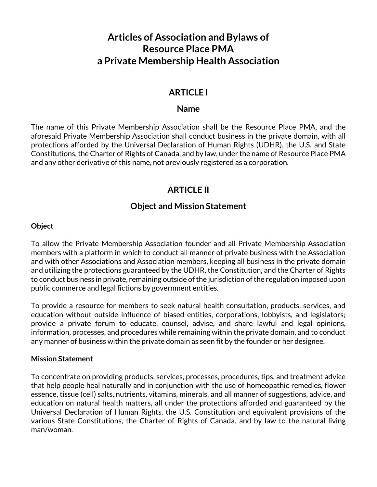# **Articles of Association and Bylaws of Resource Place PMA a Private Membership Health Association**

## **ARTICLE I**

#### **Name**

The name of this Private Membership Association shall be the Resource Place PMA, and the aforesaid Private Membership Association shall conduct business in the private domain, with all protections afforded by the Universal Declaration of Human Rights (UDHR), the U.S. and State Constitutions, the Charter of Rights of Canada, and by law, under the name of Resource Place PMA and any other derivative of this name, not previously registered as a corporation.

## **ARTICLE II**

### **Object and Mission Statement**

#### **Object**

To allow the Private Membership Association founder and all Private Membership Association members with a platform in which to conduct all manner of private business with the Association and with other Associations and Association members, keeping all business in the private domain and utilizing the protections guaranteed by the UDHR, the Constitution, and the Charter of Rights to conduct business in private, remaining outside of the jurisdiction of the regulation imposed upon public commerce and legal fictions by government entities.

To provide a resource for members to seek natural health consultation, products, services, and education without outside influence of biased entities, corporations, lobbyists, and legislators; provide a private forum to educate, counsel, advise, and share lawful and legal opinions, information, processes, and procedures while remaining within the private domain, and to conduct any manner of business within the private domain as seen fit by the founder or her designee.

#### **Mission Statement**

To concentrate on providing products, services, processes, procedures, tips, and treatment advice that help people heal naturally and in conjunction with the use of homeopathic remedies, flower essence, tissue (cell) salts, nutrients, vitamins, minerals, and all manner of suggestions, advice, and education on natural health matters, all under the protections afforded and guaranteed by the Universal Declaration of Human Rights, the U.S. Constitution and equivalent provisions of the various State Constitutions, the Charter of Rights of Canada, and by law to the natural living man/woman.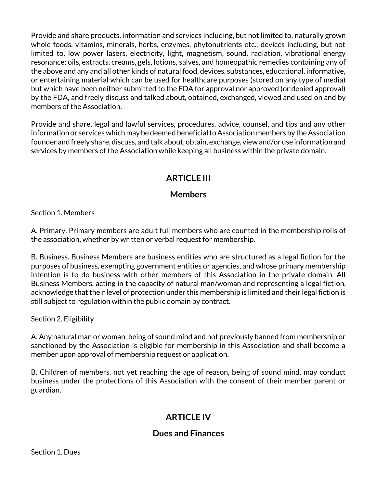Provide and share products, information and services including, but not limited to, naturally grown whole foods, vitamins, minerals, herbs, enzymes, phytonutrients etc.; devices including, but not limited to, low power lasers, electricity, light, magnetism, sound, radiation, vibrational energy resonance; oils, extracts, creams, gels, lotions, salves, and homeopathic remedies containing any of the above and any and all other kinds of natural food, devices, substances, educational, informative, or entertaining material which can be used for healthcare purposes (stored on any type of media) but which have been neither submitted to the FDA for approval nor approved (or denied approval) by the FDA, and freely discuss and talked about, obtained, exchanged, viewed and used on and by members of the Association.

Provide and share, legal and lawful services, procedures, advice, counsel, and tips and any other information or services which may be deemed beneficial to Association members by the Association founder and freely share, discuss, and talk about, obtain, exchange, view and/or use information and services by members of the Association while keeping all business within the private domain.

# **ARTICLE III**

### **Members**

Section 1. Members

A. Primary. Primary members are adult full members who are counted in the membership rolls of the association, whether by written or verbal request for membership.

B. Business. Business Members are business entities who are structured as a legal fiction for the purposes of business, exempting government entities or agencies, and whose primary membership intention is to do business with other members of this Association in the private domain. All Business Members, acting in the capacity of natural man/woman and representing a legal fiction, acknowledge that their level of protection under this membership is limited and their legal fiction is still subject to regulation within the public domain by contract.

Section 2. Eligibility

A. Any natural man or woman, being of sound mind and not previously banned from membership or sanctioned by the Association is eligible for membership in this Association and shall become a member upon approval of membership request or application.

B. Children of members, not yet reaching the age of reason, being of sound mind, may conduct business under the protections of this Association with the consent of their member parent or guardian.

# **ARTICLE IV**

## **Dues and Finances**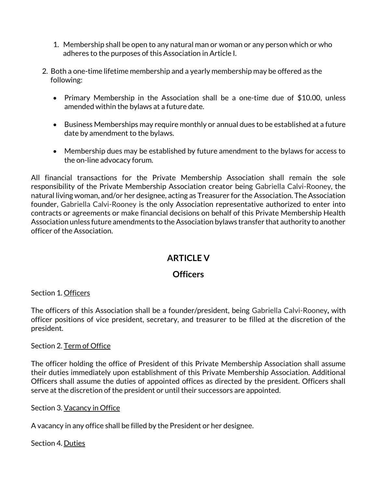- 1. Membership shall be open to any natural man or woman or any person which or who adheres to the purposes of this Association in Article I.
- 2. Both a one-time lifetime membership and a yearly membership may be offered as the following:
	- Primary Membership in the Association shall be a one-time due of \$10.00, unless amended within the bylaws at a future date.
	- Business Memberships may require monthly or annual dues to be established at a future date by amendment to the bylaws.
	- Membership dues may be established by future amendment to the bylaws for access to the on-line advocacy forum.

All financial transactions for the Private Membership Association shall remain the sole responsibility of the Private Membership Association creator being Gabriella Calvi-Rooney, the natural living woman, and/or her designee, acting as Treasurer for the Association. The Association founder, Gabriella Calvi-Rooney is the only Association representative authorized to enter into contracts or agreements or make financial decisions on behalf of this Private Membership Health Association unless future amendments to the Association bylaws transfer that authority to another officer of the Association.

# **ARTICLE V**

#### **Officers**

Section 1. Officers

The officers of this Association shall be a founder/president, being Gabriella Calvi-Rooney**,** with officer positions of vice president, secretary, and treasurer to be filled at the discretion of the president.

#### Section 2. Term of Office

The officer holding the office of President of this Private Membership Association shall assume their duties immediately upon establishment of this Private Membership Association. Additional Officers shall assume the duties of appointed offices as directed by the president. Officers shall serve at the discretion of the president or until their successors are appointed.

#### Section 3. Vacancy in Office

A vacancy in any office shall be filled by the President or her designee.

Section 4. Duties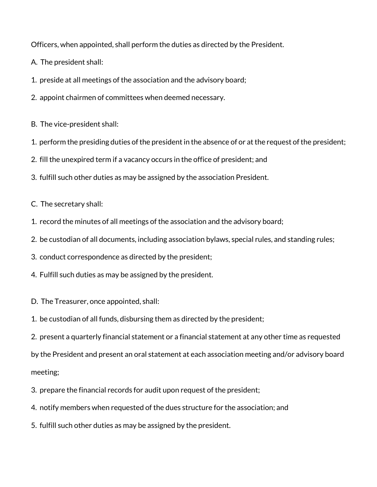Officers, when appointed, shall perform the duties as directed by the President.

A. The president shall:

1. preside at all meetings of the association and the advisory board;

2. appoint chairmen of committees when deemed necessary.

B. The vice-president shall:

- 1. perform the presiding duties of the president in the absence of or at the request of the president;
- 2. fill the unexpired term if a vacancy occurs in the office of president; and
- 3. fulfill such other duties as may be assigned by the association President.

C. The secretary shall:

- 1. record the minutes of all meetings of the association and the advisory board;
- 2. be custodian of all documents, including association bylaws, special rules, and standing rules;
- 3. conduct correspondence as directed by the president;
- 4. Fulfill such duties as may be assigned by the president.
- D. The Treasurer, once appointed, shall:
- 1. be custodian of all funds, disbursing them as directed by the president;

2. present a quarterly financial statement or a financial statement at any other time as requested

by the President and present an oral statement at each association meeting and/or advisory board meeting;

- 3. prepare the financial records for audit upon request of the president;
- 4. notify members when requested of the dues structure for the association; and
- 5. fulfill such other duties as may be assigned by the president.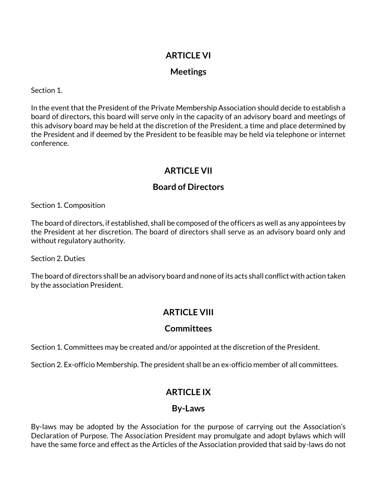## **ARTICLE VI**

### **Meetings**

Section 1.

In the event that the President of the Private Membership Association should decide to establish a board of directors, this board will serve only in the capacity of an advisory board and meetings of this advisory board may be held at the discretion of the President, a time and place determined by the President and if deemed by the President to be feasible may be held via telephone or internet conference.

# **ARTICLE VII**

## **Board of Directors**

Section 1. Composition

The board of directors, if established, shall be composed of the officers as well as any appointees by the President at her discretion. The board of directors shall serve as an advisory board only and without regulatory authority.

Section 2. Duties

The board of directors shall be an advisory board and none of its acts shall conflict with action taken by the association President.

# **ARTICLE VIII**

## **Committees**

Section 1. Committees may be created and/or appointed at the discretion of the President.

Section 2. Ex-officio Membership. The president shall be an ex-officio member of all committees.

# **ARTICLE IX**

## **By-Laws**

By-laws may be adopted by the Association for the purpose of carrying out the Association's Declaration of Purpose. The Association President may promulgate and adopt bylaws which will have the same force and effect as the Articles of the Association provided that said by-laws do not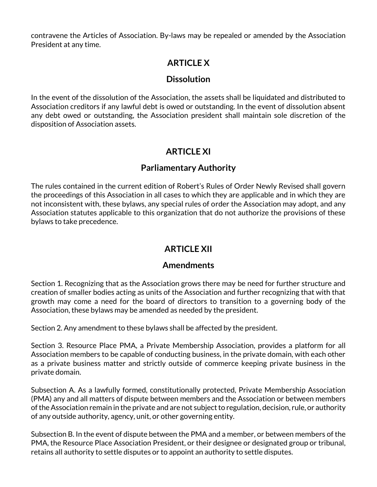contravene the Articles of Association. By-laws may be repealed or amended by the Association President at any time.

# **ARTICLE X**

### **Dissolution**

In the event of the dissolution of the Association, the assets shall be liquidated and distributed to Association creditors if any lawful debt is owed or outstanding. In the event of dissolution absent any debt owed or outstanding, the Association president shall maintain sole discretion of the disposition of Association assets.

# **ARTICLE XI**

### **Parliamentary Authority**

The rules contained in the current edition of Robert's Rules of Order Newly Revised shall govern the proceedings of this Association in all cases to which they are applicable and in which they are not inconsistent with, these bylaws, any special rules of order the Association may adopt, and any Association statutes applicable to this organization that do not authorize the provisions of these bylaws to take precedence.

# **ARTICLE XII**

#### **Amendments**

Section 1. Recognizing that as the Association grows there may be need for further structure and creation of smaller bodies acting as units of the Association and further recognizing that with that growth may come a need for the board of directors to transition to a governing body of the Association, these bylaws may be amended as needed by the president.

Section 2. Any amendment to these bylaws shall be affected by the president.

Section 3. Resource Place PMA, a Private Membership Association, provides a platform for all Association members to be capable of conducting business, in the private domain, with each other as a private business matter and strictly outside of commerce keeping private business in the private domain.

Subsection A. As a lawfully formed, constitutionally protected, Private Membership Association (PMA) any and all matters of dispute between members and the Association or between members of the Association remain in the private and are not subject to regulation, decision, rule, or authority of any outside authority, agency, unit, or other governing entity.

Subsection B. In the event of dispute between the PMA and a member, or between members of the PMA, the Resource Place Association President, or their designee or designated group or tribunal, retains all authority to settle disputes or to appoint an authority to settle disputes.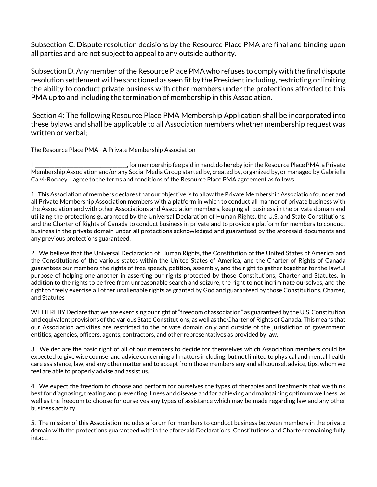Subsection C. Dispute resolution decisions by the Resource Place PMA are final and binding upon all parties and are not subject to appeal to any outside authority.

Subsection D. Any member of the Resource Place PMA who refuses to comply with the final dispute resolution settlement will be sanctioned as seen fit by the President including, restricting or limiting the ability to conduct private business with other members under the protections afforded to this PMA up to and including the termination of membership in this Association.

Section 4: The following Resource Place PMA Membership Application shall be incorporated into these bylaws and shall be applicable to all Association members whether membership request was written or verbal;

The Resource Place PMA - A Private Membership Association

I \_\_\_\_\_\_\_\_\_\_\_\_\_\_\_\_\_\_\_\_\_\_\_\_\_\_\_\_\_\_\_\_\_\_\_\_\_\_, for membership fee paid in hand, do hereby join the Resource Place PMA, a Private Membership Association and/or any Social Media Group started by, created by, organized by, or managed by Gabriella Calvi-Rooney. I agree to the terms and conditions of the Resource Place PMA agreement as follows:

1. This Association of members declares that our objective is to allow the Private Membership Association founder and all Private Membership Association members with a platform in which to conduct all manner of private business with the Association and with other Associations and Association members, keeping all business in the private domain and utilizing the protections guaranteed by the Universal Declaration of Human Rights, the U.S. and State Constitutions, and the Charter of Rights of Canada to conduct business in private and to provide a platform for members to conduct business in the private domain under all protections acknowledged and guaranteed by the aforesaid documents and any previous protections guaranteed.

2. We believe that the Universal Declaration of Human Rights, the Constitution of the United States of America and the Constitutions of the various states within the United States of America, and the Charter of Rights of Canada guarantees our members the rights of free speech, petition, assembly, and the right to gather together for the lawful purpose of helping one another in asserting our rights protected by those Constitutions, Charter and Statutes, in addition to the rights to be free from unreasonable search and seizure, the right to not incriminate ourselves, and the right to freely exercise all other unalienable rights as granted by God and guaranteed by those Constitutions, Charter, and Statutes

WE HEREBY Declare that we are exercising our right of "freedom of association" as guaranteed by the U.S. Constitution and equivalent provisions of the various State Constitutions, as well as the Charter of Rights of Canada. This means that our Association activities are restricted to the private domain only and outside of the jurisdiction of government entities, agencies, officers, agents, contractors, and other representatives as provided by law.

3. We declare the basic right of all of our members to decide for themselves which Association members could be expected to give wise counsel and advice concerning all matters including, but not limited to physical and mental health care assistance, law, and any other matter and to accept from those members any and all counsel, advice, tips, whom we feel are able to properly advise and assist us.

4. We expect the freedom to choose and perform for ourselves the types of therapies and treatments that we think best for diagnosing, treating and preventing illness and disease and for achieving and maintaining optimum wellness, as well as the freedom to choose for ourselves any types of assistance which may be made regarding law and any other business activity.

5. The mission of this Association includes a forum for members to conduct business between members in the private domain with the protections guaranteed within the aforesaid Declarations, Constitutions and Charter remaining fully intact.